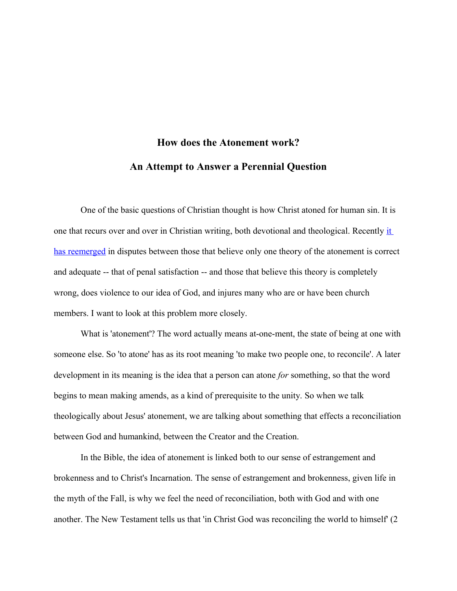## **How does the Atonement work? An Attempt to Answer a Perennial Question**

One of the basic questions of Christian thought is how Christ atoned for human sin. It is one that recurs over and over in Christian writing, both devotional and theological. Recently [it](http://www.guardian.co.uk/commentisfree/2007/apr/04/christrecrucified)  [has reemerged](http://www.guardian.co.uk/commentisfree/2007/apr/04/christrecrucified) in disputes between those that believe only one theory of the atonement is correct and adequate -- that of penal satisfaction -- and those that believe this theory is completely wrong, does violence to our idea of God, and injures many who are or have been church members. I want to look at this problem more closely.

What is 'atonement'? The word actually means at-one-ment, the state of being at one with someone else. So 'to atone' has as its root meaning 'to make two people one, to reconcile'. A later development in its meaning is the idea that a person can atone *for* something, so that the word begins to mean making amends, as a kind of prerequisite to the unity. So when we talk theologically about Jesus' atonement, we are talking about something that effects a reconciliation between God and humankind, between the Creator and the Creation.

In the Bible, the idea of atonement is linked both to our sense of estrangement and brokenness and to Christ's Incarnation. The sense of estrangement and brokenness, given life in the myth of the Fall, is why we feel the need of reconciliation, both with God and with one another. The New Testament tells us that 'in Christ God was reconciling the world to himself' (2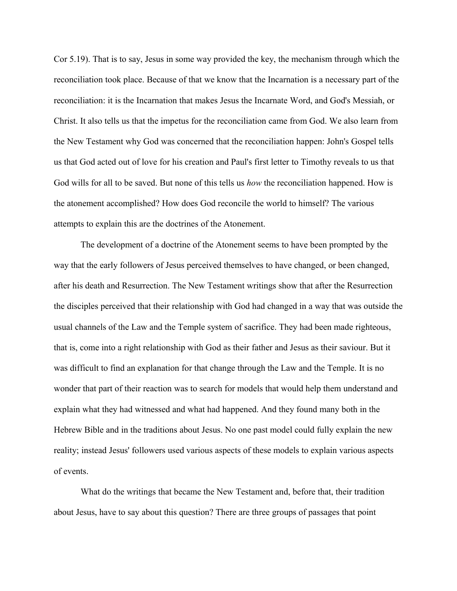Cor 5.19). That is to say, Jesus in some way provided the key, the mechanism through which the reconciliation took place. Because of that we know that the Incarnation is a necessary part of the reconciliation: it is the Incarnation that makes Jesus the Incarnate Word, and God's Messiah, or Christ. It also tells us that the impetus for the reconciliation came from God. We also learn from the New Testament why God was concerned that the reconciliation happen: John's Gospel tells us that God acted out of love for his creation and Paul's first letter to Timothy reveals to us that God wills for all to be saved. But none of this tells us *how* the reconciliation happened. How is the atonement accomplished? How does God reconcile the world to himself? The various attempts to explain this are the doctrines of the Atonement.

The development of a doctrine of the Atonement seems to have been prompted by the way that the early followers of Jesus perceived themselves to have changed, or been changed, after his death and Resurrection. The New Testament writings show that after the Resurrection the disciples perceived that their relationship with God had changed in a way that was outside the usual channels of the Law and the Temple system of sacrifice. They had been made righteous, that is, come into a right relationship with God as their father and Jesus as their saviour. But it was difficult to find an explanation for that change through the Law and the Temple. It is no wonder that part of their reaction was to search for models that would help them understand and explain what they had witnessed and what had happened. And they found many both in the Hebrew Bible and in the traditions about Jesus. No one past model could fully explain the new reality; instead Jesus' followers used various aspects of these models to explain various aspects of events.

What do the writings that became the New Testament and, before that, their tradition about Jesus, have to say about this question? There are three groups of passages that point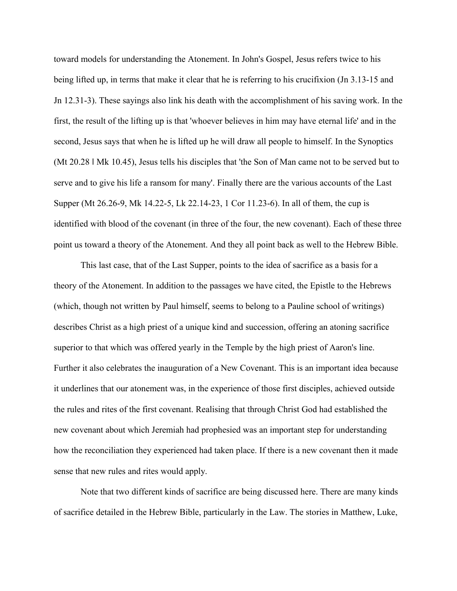toward models for understanding the Atonement. In John's Gospel, Jesus refers twice to his being lifted up, in terms that make it clear that he is referring to his crucifixion (Jn 3.13-15 and Jn 12.31-3). These sayings also link his death with the accomplishment of his saving work. In the first, the result of the lifting up is that 'whoever believes in him may have eternal life' and in the second, Jesus says that when he is lifted up he will draw all people to himself. In the Synoptics (Mt 20.28 ‖ Mk 10.45), Jesus tells his disciples that 'the Son of Man came not to be served but to serve and to give his life a ransom for many'. Finally there are the various accounts of the Last Supper (Mt 26.26-9, Mk 14.22-5, Lk 22.14-23, 1 Cor 11.23-6). In all of them, the cup is identified with blood of the covenant (in three of the four, the new covenant). Each of these three point us toward a theory of the Atonement. And they all point back as well to the Hebrew Bible.

This last case, that of the Last Supper, points to the idea of sacrifice as a basis for a theory of the Atonement. In addition to the passages we have cited, the Epistle to the Hebrews (which, though not written by Paul himself, seems to belong to a Pauline school of writings) describes Christ as a high priest of a unique kind and succession, offering an atoning sacrifice superior to that which was offered yearly in the Temple by the high priest of Aaron's line. Further it also celebrates the inauguration of a New Covenant. This is an important idea because it underlines that our atonement was, in the experience of those first disciples, achieved outside the rules and rites of the first covenant. Realising that through Christ God had established the new covenant about which Jeremiah had prophesied was an important step for understanding how the reconciliation they experienced had taken place. If there is a new covenant then it made sense that new rules and rites would apply.

Note that two different kinds of sacrifice are being discussed here. There are many kinds of sacrifice detailed in the Hebrew Bible, particularly in the Law. The stories in Matthew, Luke,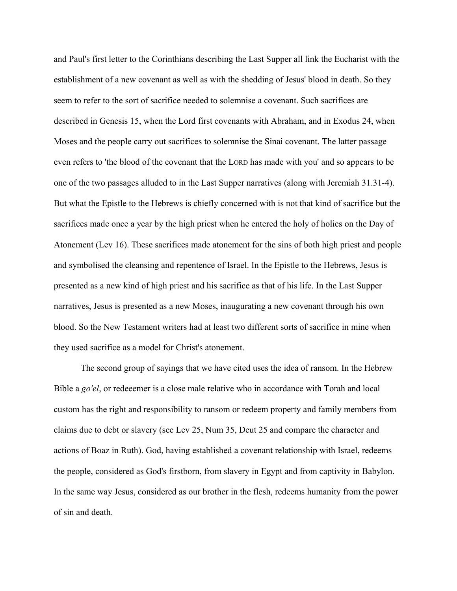and Paul's first letter to the Corinthians describing the Last Supper all link the Eucharist with the establishment of a new covenant as well as with the shedding of Jesus' blood in death. So they seem to refer to the sort of sacrifice needed to solemnise a covenant. Such sacrifices are described in Genesis 15, when the Lord first covenants with Abraham, and in Exodus 24, when Moses and the people carry out sacrifices to solemnise the Sinai covenant. The latter passage even refers to 'the blood of the covenant that the LORD has made with you' and so appears to be one of the two passages alluded to in the Last Supper narratives (along with Jeremiah 31.31-4). But what the Epistle to the Hebrews is chiefly concerned with is not that kind of sacrifice but the sacrifices made once a year by the high priest when he entered the holy of holies on the Day of Atonement (Lev 16). These sacrifices made atonement for the sins of both high priest and people and symbolised the cleansing and repentence of Israel. In the Epistle to the Hebrews, Jesus is presented as a new kind of high priest and his sacrifice as that of his life. In the Last Supper narratives, Jesus is presented as a new Moses, inaugurating a new covenant through his own blood. So the New Testament writers had at least two different sorts of sacrifice in mine when they used sacrifice as a model for Christ's atonement.

The second group of sayings that we have cited uses the idea of ransom. In the Hebrew Bible a *go'el*, or redeeemer is a close male relative who in accordance with Torah and local custom has the right and responsibility to ransom or redeem property and family members from claims due to debt or slavery (see Lev 25, Num 35, Deut 25 and compare the character and actions of Boaz in Ruth). God, having established a covenant relationship with Israel, redeems the people, considered as God's firstborn, from slavery in Egypt and from captivity in Babylon. In the same way Jesus, considered as our brother in the flesh, redeems humanity from the power of sin and death.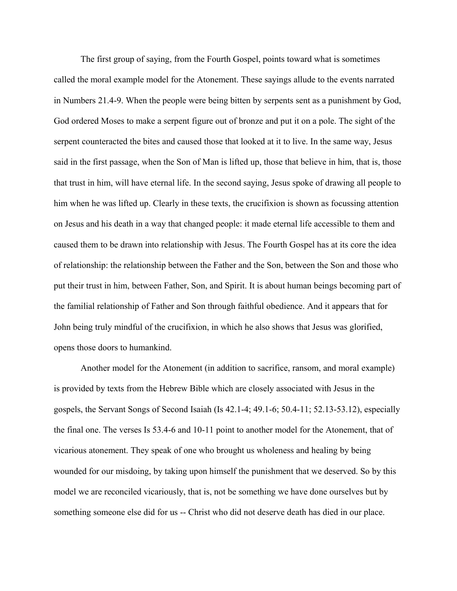The first group of saying, from the Fourth Gospel, points toward what is sometimes called the moral example model for the Atonement. These sayings allude to the events narrated in Numbers 21.4-9. When the people were being bitten by serpents sent as a punishment by God, God ordered Moses to make a serpent figure out of bronze and put it on a pole. The sight of the serpent counteracted the bites and caused those that looked at it to live. In the same way, Jesus said in the first passage, when the Son of Man is lifted up, those that believe in him, that is, those that trust in him, will have eternal life. In the second saying, Jesus spoke of drawing all people to him when he was lifted up. Clearly in these texts, the crucifixion is shown as focussing attention on Jesus and his death in a way that changed people: it made eternal life accessible to them and caused them to be drawn into relationship with Jesus. The Fourth Gospel has at its core the idea of relationship: the relationship between the Father and the Son, between the Son and those who put their trust in him, between Father, Son, and Spirit. It is about human beings becoming part of the familial relationship of Father and Son through faithful obedience. And it appears that for John being truly mindful of the crucifixion, in which he also shows that Jesus was glorified, opens those doors to humankind.

Another model for the Atonement (in addition to sacrifice, ransom, and moral example) is provided by texts from the Hebrew Bible which are closely associated with Jesus in the gospels, the Servant Songs of Second Isaiah (Is 42.1-4; 49.1-6; 50.4-11; 52.13-53.12), especially the final one. The verses Is 53.4-6 and 10-11 point to another model for the Atonement, that of vicarious atonement. They speak of one who brought us wholeness and healing by being wounded for our misdoing, by taking upon himself the punishment that we deserved. So by this model we are reconciled vicariously, that is, not be something we have done ourselves but by something someone else did for us -- Christ who did not deserve death has died in our place.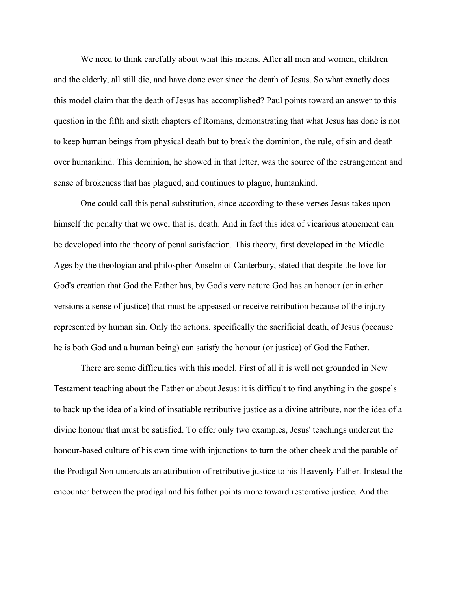We need to think carefully about what this means. After all men and women, children and the elderly, all still die, and have done ever since the death of Jesus. So what exactly does this model claim that the death of Jesus has accomplished? Paul points toward an answer to this question in the fifth and sixth chapters of Romans, demonstrating that what Jesus has done is not to keep human beings from physical death but to break the dominion, the rule, of sin and death over humankind. This dominion, he showed in that letter, was the source of the estrangement and sense of brokeness that has plagued, and continues to plague, humankind.

One could call this penal substitution, since according to these verses Jesus takes upon himself the penalty that we owe, that is, death. And in fact this idea of vicarious atonement can be developed into the theory of penal satisfaction. This theory, first developed in the Middle Ages by the theologian and philospher Anselm of Canterbury, stated that despite the love for God's creation that God the Father has, by God's very nature God has an honour (or in other versions a sense of justice) that must be appeased or receive retribution because of the injury represented by human sin. Only the actions, specifically the sacrificial death, of Jesus (because he is both God and a human being) can satisfy the honour (or justice) of God the Father.

There are some difficulties with this model. First of all it is well not grounded in New Testament teaching about the Father or about Jesus: it is difficult to find anything in the gospels to back up the idea of a kind of insatiable retributive justice as a divine attribute, nor the idea of a divine honour that must be satisfied. To offer only two examples, Jesus' teachings undercut the honour-based culture of his own time with injunctions to turn the other cheek and the parable of the Prodigal Son undercuts an attribution of retributive justice to his Heavenly Father. Instead the encounter between the prodigal and his father points more toward restorative justice. And the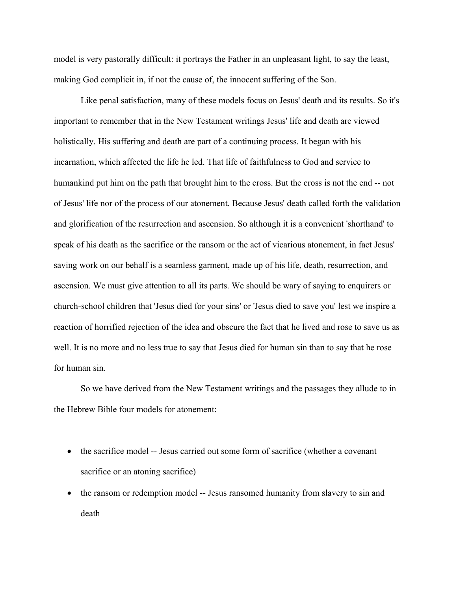model is very pastorally difficult: it portrays the Father in an unpleasant light, to say the least, making God complicit in, if not the cause of, the innocent suffering of the Son.

Like penal satisfaction, many of these models focus on Jesus' death and its results. So it's important to remember that in the New Testament writings Jesus' life and death are viewed holistically. His suffering and death are part of a continuing process. It began with his incarnation, which affected the life he led. That life of faithfulness to God and service to humankind put him on the path that brought him to the cross. But the cross is not the end -- not of Jesus' life nor of the process of our atonement. Because Jesus' death called forth the validation and glorification of the resurrection and ascension. So although it is a convenient 'shorthand' to speak of his death as the sacrifice or the ransom or the act of vicarious atonement, in fact Jesus' saving work on our behalf is a seamless garment, made up of his life, death, resurrection, and ascension. We must give attention to all its parts. We should be wary of saying to enquirers or church-school children that 'Jesus died for your sins' or 'Jesus died to save you' lest we inspire a reaction of horrified rejection of the idea and obscure the fact that he lived and rose to save us as well. It is no more and no less true to say that Jesus died for human sin than to say that he rose for human sin.

So we have derived from the New Testament writings and the passages they allude to in the Hebrew Bible four models for atonement:

- the sacrifice model -- Jesus carried out some form of sacrifice (whether a covenant sacrifice or an atoning sacrifice)
- the ransom or redemption model -- Jesus ransomed humanity from slavery to sin and death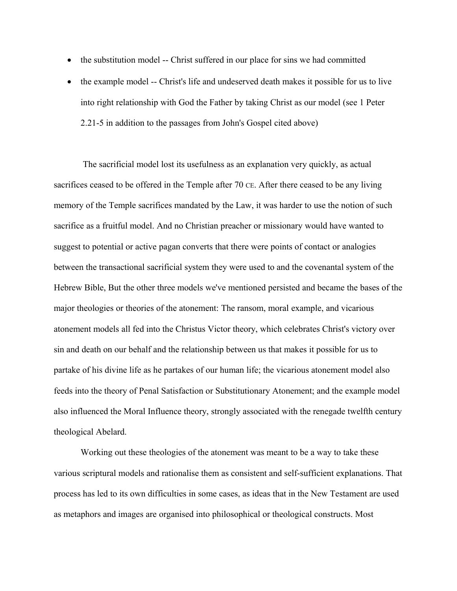- the substitution model -- Christ suffered in our place for sins we had committed
- the example model -- Christ's life and undeserved death makes it possible for us to live into right relationship with God the Father by taking Christ as our model (see 1 Peter 2.21-5 in addition to the passages from John's Gospel cited above)

 The sacrificial model lost its usefulness as an explanation very quickly, as actual sacrifices ceased to be offered in the Temple after 70 CE. After there ceased to be any living memory of the Temple sacrifices mandated by the Law, it was harder to use the notion of such sacrifice as a fruitful model. And no Christian preacher or missionary would have wanted to suggest to potential or active pagan converts that there were points of contact or analogies between the transactional sacrificial system they were used to and the covenantal system of the Hebrew Bible, But the other three models we've mentioned persisted and became the bases of the major theologies or theories of the atonement: The ransom, moral example, and vicarious atonement models all fed into the Christus Victor theory, which celebrates Christ's victory over sin and death on our behalf and the relationship between us that makes it possible for us to partake of his divine life as he partakes of our human life; the vicarious atonement model also feeds into the theory of Penal Satisfaction or Substitutionary Atonement; and the example model also influenced the Moral Influence theory, strongly associated with the renegade twelfth century theological Abelard.

Working out these theologies of the atonement was meant to be a way to take these various scriptural models and rationalise them as consistent and self-sufficient explanations. That process has led to its own difficulties in some cases, as ideas that in the New Testament are used as metaphors and images are organised into philosophical or theological constructs. Most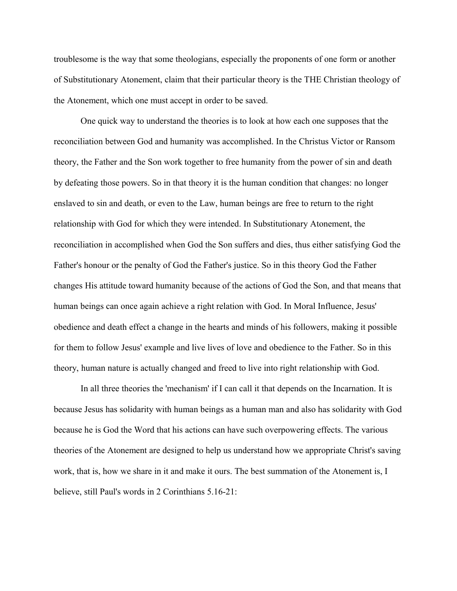troublesome is the way that some theologians, especially the proponents of one form or another of Substitutionary Atonement, claim that their particular theory is the THE Christian theology of the Atonement, which one must accept in order to be saved.

One quick way to understand the theories is to look at how each one supposes that the reconciliation between God and humanity was accomplished. In the Christus Victor or Ransom theory, the Father and the Son work together to free humanity from the power of sin and death by defeating those powers. So in that theory it is the human condition that changes: no longer enslaved to sin and death, or even to the Law, human beings are free to return to the right relationship with God for which they were intended. In Substitutionary Atonement, the reconciliation in accomplished when God the Son suffers and dies, thus either satisfying God the Father's honour or the penalty of God the Father's justice. So in this theory God the Father changes His attitude toward humanity because of the actions of God the Son, and that means that human beings can once again achieve a right relation with God. In Moral Influence, Jesus' obedience and death effect a change in the hearts and minds of his followers, making it possible for them to follow Jesus' example and live lives of love and obedience to the Father. So in this theory, human nature is actually changed and freed to live into right relationship with God.

In all three theories the 'mechanism' if I can call it that depends on the Incarnation. It is because Jesus has solidarity with human beings as a human man and also has solidarity with God because he is God the Word that his actions can have such overpowering effects. The various theories of the Atonement are designed to help us understand how we appropriate Christ's saving work, that is, how we share in it and make it ours. The best summation of the Atonement is, I believe, still Paul's words in 2 Corinthians 5.16-21: